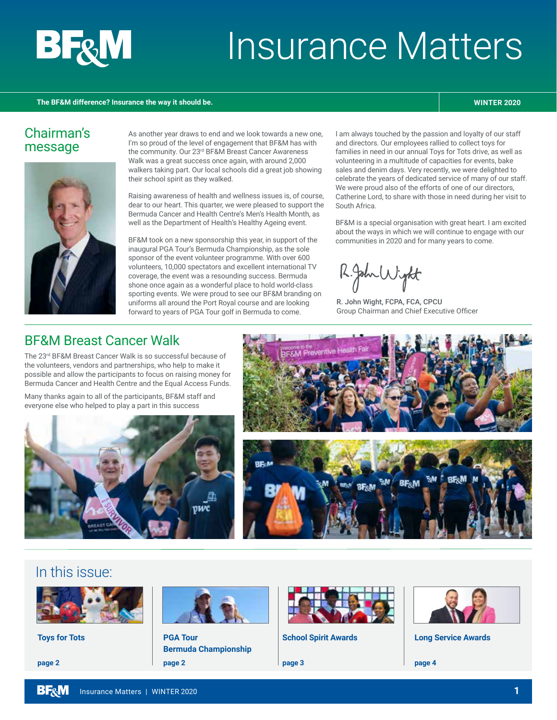

# Insurance Matters

#### **The BF&M difference? Insurance the way it should be. WINTER 2020**

#### Chairman's message



As another year draws to end and we look towards a new one, I'm so proud of the level of engagement that BF&M has with the community. Our 23rd BF&M Breast Cancer Awareness Walk was a great success once again, with around 2,000 walkers taking part. Our local schools did a great job showing their school spirit as they walked.

Raising awareness of health and wellness issues is, of course, dear to our heart. This quarter, we were pleased to support the Bermuda Cancer and Health Centre's Men's Health Month, as well as the Department of Health's Healthy Ageing event.

BF&M took on a new sponsorship this year, in support of the inaugural PGA Tour's Bermuda Championship, as the sole sponsor of the event volunteer programme. With over 600 volunteers, 10,000 spectators and excellent international TV coverage, the event was a resounding success. Bermuda shone once again as a wonderful place to hold world-class sporting events. We were proud to see our BF&M branding on uniforms all around the Port Royal course and are looking forward to years of PGA Tour golf in Bermuda to come.

I am always touched by the passion and loyalty of our staff and directors. Our employees rallied to collect toys for families in need in our annual Toys for Tots drive, as well as volunteering in a multitude of capacities for events, bake sales and denim days. Very recently, we were delighted to celebrate the years of dedicated service of many of our staff. We were proud also of the efforts of one of our directors. Catherine Lord, to share with those in need during her visit to South Africa.

BF&M is a special organisation with great heart. I am excited about the ways in which we will continue to engage with our communities in 2020 and for many years to come.

2.John Wight

R. John Wight, FCPA, FCA, CPCU Group Chairman and Chief Executive Officer

#### BF&M Breast Cancer Walk

The 23rd BF&M Breast Cancer Walk is so successful because of the volunteers, vendors and partnerships, who help to make it possible and allow the participants to focus on raising money for Bermuda Cancer and Health Centre and the Equal Access Funds.

Many thanks again to all of the participants, BF&M staff and everyone else who helped to play a part in this success





#### In this issue:



**Toys for Tots**

**page 2**



**PGA Tour Bermuda Championship page 2**



**School Spirit Awards**

**page 3**



**Long Service Awards** 

15 years **From left to right:**

**page 4**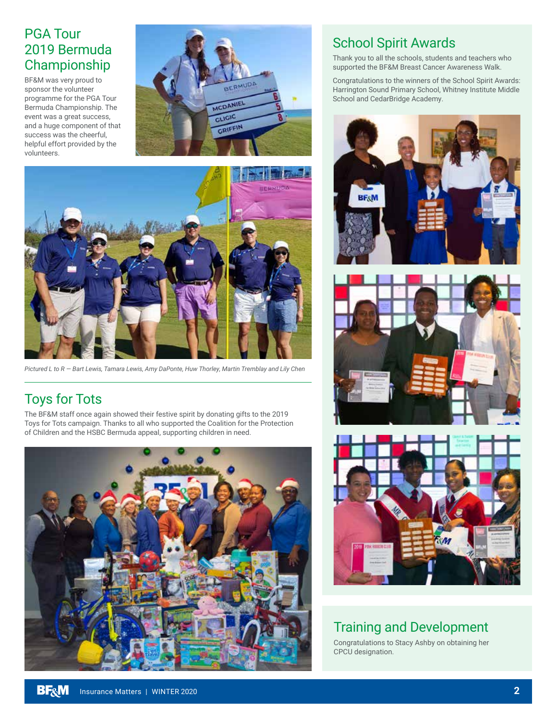#### PGA Tour 2019 Bermuda Championship

BF&M was very proud to sponsor the volunteer programme for the PGA Tour Bermuda Championship. The event was a great success, and a huge component of that success was the cheerful, helpful effort provided by the volunteers.





*Pictured L to R — Bart Lewis, Tamara Lewis, Amy DaPonte, Huw Thorley, Martin Tremblay and Lily Chen*

### Toys for Tots

The BF&M staff once again showed their festive spirit by donating gifts to the 2019 Toys for Tots campaign. Thanks to all who supported the Coalition for the Protection of Children and the HSBC Bermuda appeal, supporting children in need.



#### School Spirit Awards

Thank you to all the schools, students and teachers who supported the BF&M Breast Cancer Awareness Walk.

Congratulations to the winners of the School Spirit Awards: Harrington Sound Primary School, Whitney Institute Middle School and CedarBridge Academy.







#### Training and Development

Congratulations to Stacy Ashby on obtaining her CPCU designation.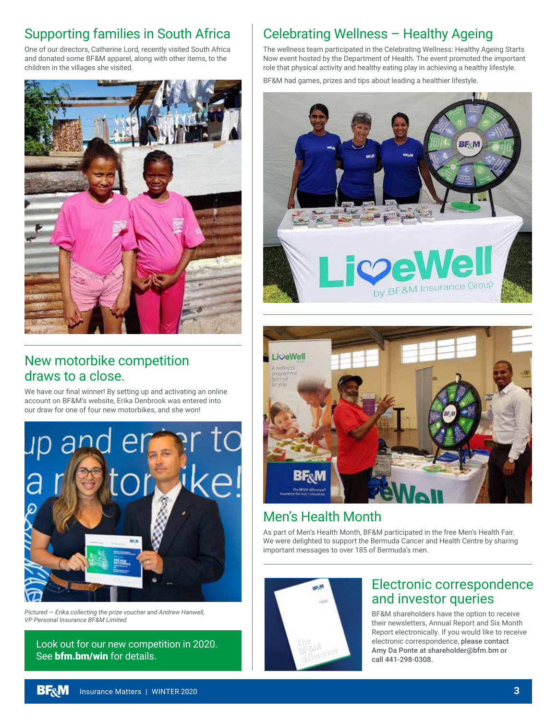#### Supporting families in South Africa

One of our directors, Catherine Lord, recently visited South Africa and donated some BF&M apparel, along with other items, to the children in the villages she visited.



#### New motorbike competition draws to a close.

We have our final winner! By setting up and activating an online account on BF&M's website, Erika Denbrook was entered into our draw for one of four new motorbikes, and she won!



*Pictured — Erika collecting the prize voucher and Andrew Hanwell, VP Personal Insurance BF&M Limited*

Look out for our new competition in 2020. See **bfm.bm/win** for details.

### Celebrating Wellness – Healthy Ageing

The wellness team participated in the Celebrating Wellness: Healthy Ageing Starts Now event hosted by the Department of Health. The event promoted the important role that physical activity and healthy eating play in achieving a healthy lifestyle.

BF&M had games, prizes and tips about leading a healthier lifestyle.





#### Men's Health Month

As part of Men's Health Month, BF&M participated in the free Men's Health Fair. We were delighted to support the Bermuda Cancer and Health Centre by sharing important messages to over 185 of Bermuda's men.



#### Electronic correspondence and investor queries

BF&M shareholders have the option to receive their newsletters, Annual Report and Six Month Report electronically. If you would like to receive electronic correspondence, please contact Amy Da Ponte at shareholder@bfm.bm or call 441-298-0308.